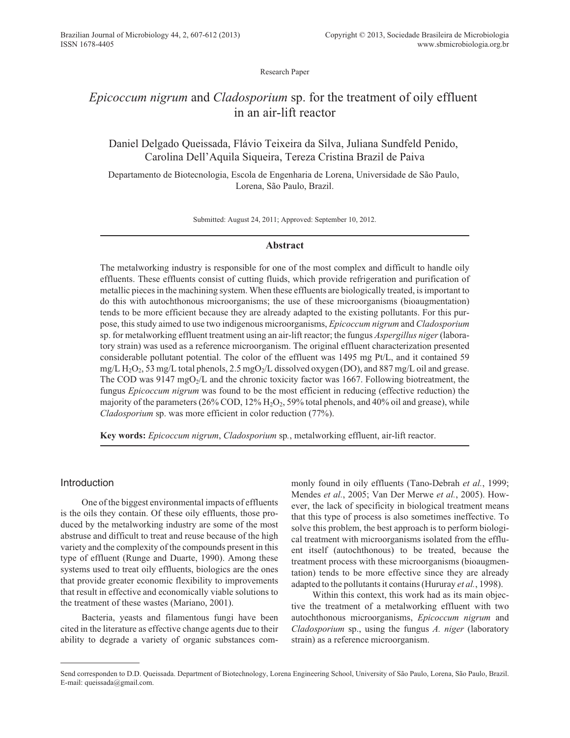Research Paper

# *Epicoccum nigrum* and *Cladosporium* sp. for the treatment of oily effluent in an air-lift reactor

Daniel Delgado Queissada, Flávio Teixeira da Silva, Juliana Sundfeld Penido, Carolina Dell'Aquila Siqueira, Tereza Cristina Brazil de Paiva

Departamento de Biotecnologia, Escola de Engenharia de Lorena, Universidade de São Paulo, Lorena, São Paulo, Brazil.

Submitted: August 24, 2011; Approved: September 10, 2012.

## **Abstract**

The metalworking industry is responsible for one of the most complex and difficult to handle oily effluents. These effluents consist of cutting fluids, which provide refrigeration and purification of metallic pieces in the machining system. When these effluents are biologically treated, is important to do this with autochthonous microorganisms; the use of these microorganisms (bioaugmentation) tends to be more efficient because they are already adapted to the existing pollutants. For this purpose, this study aimed to use two indigenous microorganisms, *Epicoccum nigrum* and *Cladosporium* sp. for metalworking effluent treatment using an air-lift reactor; the fungus *Aspergillus niger*(laboratory strain) was used as a reference microorganism. The original effluent characterization presented considerable pollutant potential. The color of the effluent was 1495 mg Pt/L, and it contained 59 mg/L  $H_2O_2$ , 53 mg/L total phenols, 2.5 mgO<sub>2</sub>/L dissolved oxygen (DO), and 887 mg/L oil and grease. The COD was  $9147 \text{ mgO}_2/L$  and the chronic toxicity factor was 1667. Following biotreatment, the fungus *Epicoccum nigrum* was found to be the most efficient in reducing (effective reduction) the majority of the parameters ( $26\%$  COD,  $12\%$  H<sub>2</sub>O<sub>2</sub>, 59% total phenols, and 40% oil and grease), while *Cladosporium* sp. was more efficient in color reduction (77%).

**Key words:** *Epicoccum nigrum*, *Cladosporium* sp*.*, metalworking effluent, air-lift reactor.

# Introduction

One of the biggest environmental impacts of effluents is the oils they contain. Of these oily effluents, those produced by the metalworking industry are some of the most abstruse and difficult to treat and reuse because of the high variety and the complexity of the compounds present in this type of effluent (Runge and Duarte, 1990). Among these systems used to treat oily effluents, biologics are the ones that provide greater economic flexibility to improvements that result in effective and economically viable solutions to the treatment of these wastes (Mariano, 2001).

Bacteria, yeasts and filamentous fungi have been cited in the literature as effective change agents due to their ability to degrade a variety of organic substances commonly found in oily effluents (Tano-Debrah *et al.*, 1999; Mendes *et al.*, 2005; Van Der Merwe *et al.*, 2005). However, the lack of specificity in biological treatment means that this type of process is also sometimes ineffective. To solve this problem, the best approach is to perform biological treatment with microorganisms isolated from the effluent itself (autochthonous) to be treated, because the treatment process with these microorganisms (bioaugmentation) tends to be more effective since they are already adapted to the pollutants it contains (Hururay *et al.*, 1998).

Within this context, this work had as its main objective the treatment of a metalworking effluent with two autochthonous microorganisms, *Epicoccum nigrum* and *Cladosporium* sp., using the fungus *A. niger* (laboratory strain) as a reference microorganism.

Send corresponden to D.D. Queissada. Department of Biotechnology, Lorena Engineering School, University of São Paulo, Lorena, São Paulo, Brazil. E-mail: queissada@gmail.com.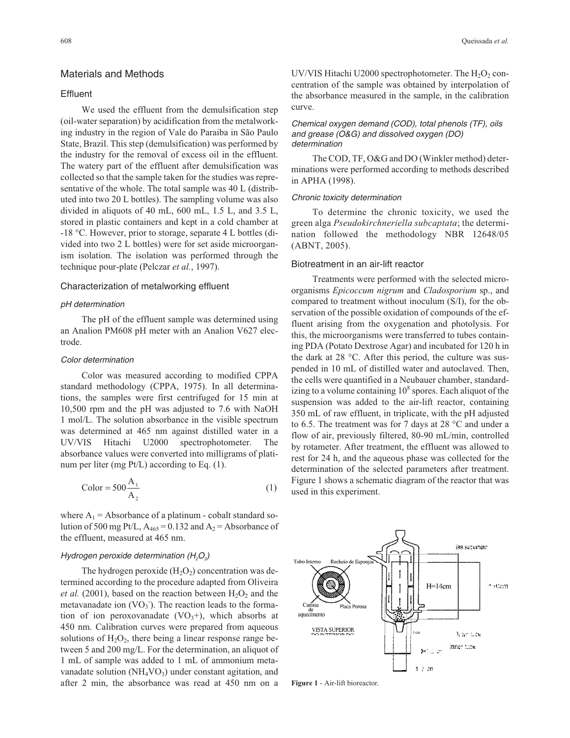# Materials and Methods

# **Effluent**

We used the effluent from the demulsification step (oil-water separation) by acidification from the metalworking industry in the region of Vale do Paraiba in São Paulo State, Brazil. This step (demulsification) was performed by the industry for the removal of excess oil in the effluent. The watery part of the effluent after demulsification was collected so that the sample taken for the studies was representative of the whole. The total sample was 40 L (distributed into two 20 L bottles). The sampling volume was also divided in aliquots of 40 mL, 600 mL, 1.5 L, and 3.5 L, stored in plastic containers and kept in a cold chamber at -18 °C. However, prior to storage, separate 4 L bottles (divided into two 2 L bottles) were for set aside microorganism isolation. The isolation was performed through the technique pour-plate (Pelczar *et al.*, 1997).

## Characterization of metalworking effluent

### pH determination

The pH of the effluent sample was determined using an Analion PM608 pH meter with an Analion V627 electrode.

### Color determination

Color was measured according to modified CPPA standard methodology (CPPA, 1975). In all determinations, the samples were first centrifuged for 15 min at 10,500 rpm and the pH was adjusted to 7.6 with NaOH 1 mol/L. The solution absorbance in the visible spectrum was determined at 465 nm against distilled water in a UV/VIS Hitachi U2000 spectrophotometer. The absorbance values were converted into milligrams of platinum per liter (mg Pt/L) according to Eq. (1).

$$
Color = 500 \frac{A_1}{A_2} \tag{1}
$$

where  $A_1$  = Absorbance of a platinum - cobalt standard solution of 500 mg Pt/L,  $A_{465} = 0.132$  and  $A_2 =$  Absorbance of the effluent, measured at 465 nm.

### Hydrogen peroxide determination (H<sub>2</sub>O<sub>2</sub>)

The hydrogen peroxide  $(H_2O_2)$  concentration was determined according to the procedure adapted from Oliveira *et al.* (2001), based on the reaction between  $H_2O_2$  and the metavanadate ion  $(VO_3)$ . The reaction leads to the formation of ion peroxovanadate  $(VO_3+)$ , which absorbs at 450 nm. Calibration curves were prepared from aqueous solutions of  $H_2O_2$ , there being a linear response range between 5 and 200 mg/L. For the determination, an aliquot of 1 mL of sample was added to 1 mL of ammonium metavanadate solution  $(NH_4VO_3)$  under constant agitation, and after 2 min, the absorbance was read at 450 nm on a UV/VIS Hitachi U2000 spectrophotometer. The  $H_2O_2$  concentration of the sample was obtained by interpolation of the absorbance measured in the sample, in the calibration curve.

Chemical oxygen demand (COD), total phenols (TF), oils and grease (O&G) and dissolved oxygen (DO) determination

The COD, TF, O&G and DO (Winkler method) determinations were performed according to methods described in APHA (1998).

#### Chronic toxicity determination

To determine the chronic toxicity, we used the green alga *Pseudokirchneriella subcaptata*; the determination followed the methodology NBR 12648/05 (ABNT, 2005).

### Biotreatment in an air-lift reactor

Treatments were performed with the selected microorganisms *Epicoccum nigrum* and *Cladosporium* sp., and compared to treatment without inoculum (S/I), for the observation of the possible oxidation of compounds of the effluent arising from the oxygenation and photolysis. For this, the microorganisms were transferred to tubes containing PDA (Potato Dextrose Agar) and incubated for 120 h in the dark at 28 °C. After this period, the culture was suspended in 10 mL of distilled water and autoclaved. Then, the cells were quantified in a Neubauer chamber, standardizing to a volume containing  $10<sup>8</sup>$  spores. Each aliquot of the suspension was added to the air-lift reactor, containing 350 mL of raw effluent, in triplicate, with the pH adjusted to 6.5. The treatment was for 7 days at 28 °C and under a flow of air, previously filtered, 80-90 mL/min, controlled by rotameter. After treatment, the effluent was allowed to rest for 24 h, and the aqueous phase was collected for the determination of the selected parameters after treatment. Figure 1 shows a schematic diagram of the reactor that was used in this experiment.



**Figure 1** - Air-lift bioreactor.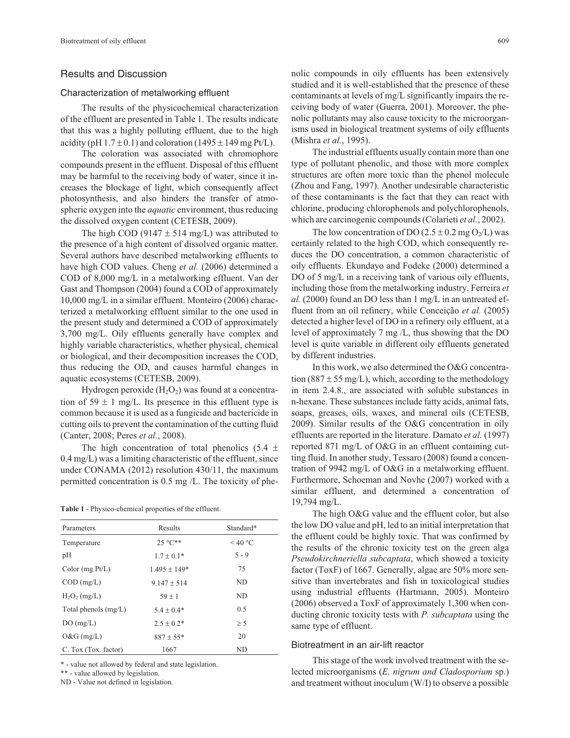# Results and Discussion

### Characterization of metalworking effluent

The results of the physicochemical characterization of the effluent are presented in Table 1. The results indicate that this was a highly polluting effluent, due to the high acidity (pH  $1.7 \pm 0.1$ ) and coloration (1495  $\pm$  149 mg Pt/L).

The coloration was associated with chromophore compounds present in the effluent. Disposal of this effluent may be harmful to the receiving body of water, since it increases the blockage of light, which consequently affect photosynthesis, and also hinders the transfer of atmospheric oxygen into the *aquatic* environment, thus reducing the dissolved oxygen content (CETESB, 2009).

The high COD (9147  $\pm$  514 mg/L) was attributed to the presence of a high content of dissolved organic matter. Several authors have described metalworking effluents to have high COD values. Cheng *et al.* (2006) determined a COD of 8,000 mg/L in a metalworking effluent. Van der Gast and Thompson (2004) found a COD of approximately 10,000 mg/L in a similar effluent. Monteiro (2006) characterized a metalworking effluent similar to the one used in the present study and determined a COD of approximately 3,700 mg/L. Oily effluents generally have complex and highly variable characteristics, whether physical, chemical or biological, and their decomposition increases the COD, thus reducing the OD, and causes harmful changes in aquatic ecosystems (CETESB, 2009).

Hydrogen peroxide  $(H_2O_2)$  was found at a concentration of 59  $\pm$  1 mg/L. Its presence in this effluent type is common because it is used as a fungicide and bactericide in cutting oils to prevent the contamination of the cutting fluid (Canter, 2008; Peres *et al.*, 2008).

The high concentration of total phenolics  $(5.4 \pm$ 0.4 mg/L) was a limiting characteristic of the effluent, since under CONAMA (2012) resolution 430/11, the maximum permitted concentration is 0.5 mg /L. The toxicity of phe-

**Table 1** - Physico-chemical properties of the effluent.

| Parameters             | Results          | Standard* |  |
|------------------------|------------------|-----------|--|
| Temperature            | $25^{\circ}$ C** | $<$ 40 °C |  |
| pH                     | $1.7 + 0.1*$     | $5 - 9$   |  |
| Color $(mg Pt/L)$      | $1.495 \pm 149*$ | 75        |  |
| $COD$ (mg/L)           | $9.147 + 514$    | ND.       |  |
| $H_2O_2$ (mg/L)        | $59 + 1$         | ND.       |  |
| Total phenols $(mg/L)$ | $5.4 + 0.4*$     | 0.5       |  |
| DO(mg/L)               | $2.5 + 0.2*$     | > 5       |  |
| $O&G$ (mg/L)           | $887 + 55*$      | 20        |  |
| C. Tox (Tox. factor)   | 1667             | ND        |  |

\* - value not allowed by federal and state legislation.

\*\* - value allowed by legislation.

ND - Value not defined in legislation.

nolic compounds in oily effluents has been extensively studied and it is well-established that the presence of these contaminants at levels of mg/L significantly impairs the receiving body of water (Guerra, 2001). Moreover, the phenolic pollutants may also cause toxicity to the microorganisms used in biological treatment systems of oily effluents (Mishra *et al.*, 1995).

The industrial effluents usually contain more than one type of pollutant phenolic, and those with more complex structures are often more toxic than the phenol molecule (Zhou and Fang, 1997). Another undesirable characteristic of these contaminants is the fact that they can react with chlorine, producing chlorophenols and polychlorophenols, which are carcinogenic compounds (Colarieti *et al.*, 2002).

The low concentration of DO (2.5  $\pm$  0.2 mg O<sub>2</sub>/L) was certainly related to the high COD, which consequently reduces the DO concentration, a common characteristic of oily effluents. Ekundayo and Fodeke (2000) determined a DO of 5 mg/L in a receiving tank of various oily effluents, including those from the metalworking industry. Ferreira *et al.* (2000) found an DO less than 1 mg/L in an untreated effluent from an oil refinery, while Conceição *et al.* (2005) detected a higher level of DO in a refinery oily effluent, at a level of approximately 7 mg /L, thus showing that the DO level is quite variable in different oily effluents generated by different industries.

In this work, we also determined the O&G concentration (887  $\pm$  55 mg/L), which, according to the methodology in item 2.4.8., are associated with soluble substances in n-hexane. These substances include fatty acids, animal fats, soaps, greases, oils, waxes, and mineral oils (CETESB, 2009). Similar results of the O&G concentration in oily effluents are reported in the literature. Damato *et al.* (1997) reported 871 mg/L of O&G in an effluent containing cutting fluid. In another study, Tessaro (2008) found a concentration of 9942 mg/L of O&G in a metalworking effluent. Furthermore, Schoeman and Novhe (2007) worked with a similar effluent, and determined a concentration of 19,794 mg/L.

The high O&G value and the effluent color, but also the low DO value and pH, led to an initial interpretation that the effluent could be highly toxic. That was confirmed by the results of the chronic toxicity test on the green alga *Pseudokirchneriella subcaptata*, which showed a toxicity factor (ToxF) of 1667. Generally, algae are 50% more sensitive than invertebrates and fish in toxicological studies using industrial effluents (Hartmann, 2005). Monteiro (2006) observed a ToxF of approximately 1,300 when conducting chronic toxicity tests with *P. subcaptata* using the same type of effluent.

# Biotreatment in an air-lift reactor

This stage of the work involved treatment with the selected microorganisms (*E. nigrum and Cladosporium* sp.) and treatment without inoculum (W/I) to observe a possible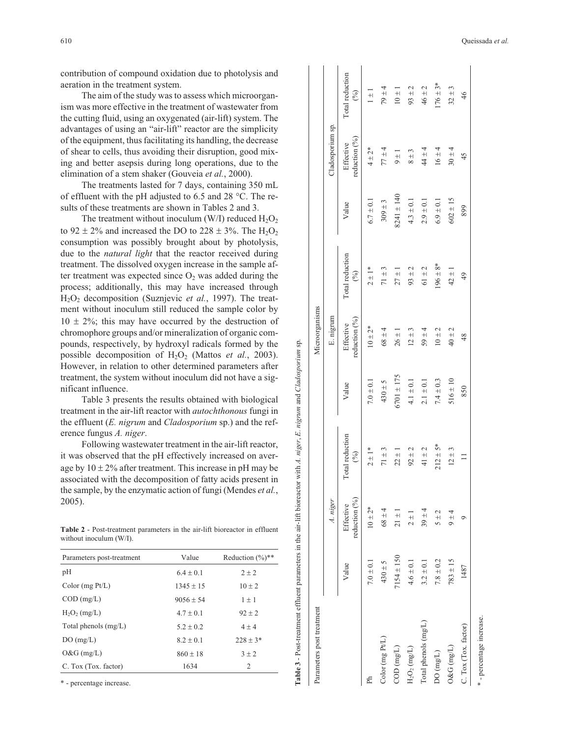contribution of compound oxidation due to photolysis and aeration in the treatment system.

The aim of the study was to assess which microorgan ism was more effective in the treatment of wastewater from the cutting fluid, using an oxygenated (air-lift) system. The advantages of using an "air-lift" reactor are the simplicity of the equipment, thus facilitating its handling, the decrease of shear to cells, thus avoiding their disruption, good mix ing and better asepsis during long operations, due to the elimination of a stem shaker (Gouveia *et al.*, 2000).

The treatments lasted for 7 days, containing 350 mL of effluent with the pH adjusted to 6.5 and 28 °C. The re sults of these treatments are shown in Tables 2 and 3.

The treatment without inoculum (W/I) reduced  $H_2O_2$ to  $92 \pm 2\%$  and increased the DO to  $228 \pm 3\%$ . The  $H_2O_2$ consumption was possibly brought about by photolysis, due to the *natural light* that the reactor received during treatment. The dissolved oxygen increase in the sample after treatment was expected since  $O_2$  was added during the process; additionally, this may have increased through H2O2 decomposition (Suznjevic *et al.*, 1997). The treatment without inoculum still reduced the sample color by  $10 \pm 2\%$ ; this may have occurred by the destruction of chromophore groups and/or mineralization of organic compounds, respectively, by hydroxyl radicals formed by the possible decomposition of H 2 O <sup>2</sup> (Mattos *et al.*, 2003). However, in relation to other determined parameters after treatment, the system without inoculum did not have a significant influence.

Table 3 presents the results obtained with biological treatment in the air-lift reactor with *autochthonous* fungi in the effluent (*E. nigrum* and *Cladosporium* sp.) and the reference fungus *A. niger*.

Following wastewater treatment in the air-lift reactor, it was observed that the pH effectively increased on aver age by  $10 \pm 2\%$  after treatment. This increase in pH may be associated with the decomposition of fatty acids present in the sample, by the enzymatic action of fungi (Mendes *et al.* , 2005).

**Table 2** - Post-treatment parameters in the air-lift bioreactor in effluent without inoculum (W/I).

| Value         | Reduction $(\%)$ ** |
|---------------|---------------------|
| $6.4 \pm 0.1$ | $2 + 2$             |
| $1345 + 15$   | $10 \pm 2$          |
| $9056 + 54$   | $1 \pm 1$           |
| $4.7 \pm 0.1$ | $92 + 2$            |
| $5.2 + 0.2$   | $4 \pm 4$           |
| $8.2 + 0.1$   | $228 \pm 3*$        |
| $860 + 18$    | $3 + 2$             |
| 1634          | 2                   |
|               |                     |

\* - percentage increase.

| Parameters post treatment       |                |                              |                        |                | Microorganisms             |                        |                |                            |                        |
|---------------------------------|----------------|------------------------------|------------------------|----------------|----------------------------|------------------------|----------------|----------------------------|------------------------|
|                                 |                | A. niger                     |                        |                | E. nigrum                  |                        |                | Cladosporium sp.           |                        |
|                                 | Value          | reduction $(%)$<br>Effective | Total reduction<br>(9) | Value          | reduction (%)<br>Effective | Total reduction<br>(%) | Value          | reduction (%)<br>Effective | Total reduction<br>(2) |
| Ph                              | $7.0 \pm 0.1$  | $10 \pm 2*$                  | $2 + 1*$               | $7.0 \pm 0.1$  | $10 \pm 2*$                | $2 \pm 1*$             | $6.7 \pm 0.1$  | $4 \pm 2*$                 | $1 \pm 1$              |
| Color (mg Pt/L)                 | $430 \pm 5$    | $68 \pm 4$                   | $71\pm3$               | $430 \pm 5$    | $68 \pm 4$                 | $71 \pm 3$             | $309 \pm 3$    | $77 + 4$                   | $19\pm 4$              |
| $\mathrm{COD}\;(\mathrm{mg/L})$ | $7154 \pm 150$ | $21 \pm 1$                   | $22 \pm 1$             | $6701 \pm 175$ | $26 \pm 1$                 | $27 \pm 1$             | $8241 \pm 140$ | $9 \pm 1$                  | $10\pm1$               |
| $\rm H_2O_2\,(mg/L)$            | $4.6 \pm 0.1$  | $2 \pm 1$                    | $92 \pm 2$             | $4.1 \pm 0.1$  | $12 \pm 3$                 | $93 \pm 2$             | $4.3 \pm 0.1$  | $8 \pm 3$                  | $93 \pm 2$             |
| Total phenols (mg/L)            | $3.2 \pm 0.1$  | $39 \pm 4$                   | 41 $\pm$ 2             | $2.1 \pm 0.1$  | $59 \pm 4$                 | $61 \pm 2$             | $2.9 \pm 0.1$  | $44\pm4$                   | $46 \pm 2$             |
| DO(mg/L)                        | $7.8 \pm 0.2$  | 5 ± 2                        | $212 \pm 5*$           | $7.4 \pm 0.3$  | $10\pm2$                   | $196 \pm 8*$           | $6.9 \pm 0.1$  | $16 \pm 4$                 | $176 \pm 3*$           |
| $O\&G\ (mgL)$                   | $783 \pm 15$   | $9 + 4$                      | $12 \pm 3$             | $516 \pm 10$   | $40 \pm 2$                 | $42 \pm 1$             | $602 \pm 15$   | $30 \pm 4$                 | $32 \pm 3$             |
| C. Tox (Tox. factor)            | 1487           | ๑                            |                        | 850            | 48                         | $\frac{49}{5}$         | 899            | 45                         | 46                     |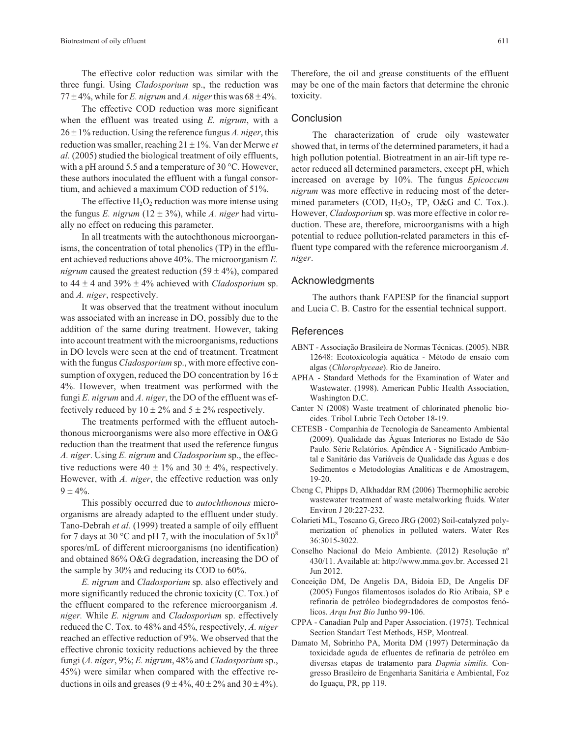The effective color reduction was similar with the three fungi. Using *Cladosporium* sp., the reduction was  $77 \pm 4\%$ , while for *E. nigrum* and *A. niger* this was  $68 \pm 4\%$ .

The effective COD reduction was more significant when the effluent was treated using *E. nigrum*, with a  $26 \pm 1\%$  reduction. Using the reference fungus *A. niger*, this reduction was smaller, reaching  $21 \pm 1\%$ . Van der Merwe *et al.* (2005) studied the biological treatment of oily effluents, with a pH around 5.5 and a temperature of 30 °C. However, these authors inoculated the effluent with a fungal consortium, and achieved a maximum COD reduction of 51%.

The effective  $H_2O_2$  reduction was more intense using the fungus *E. nigrum* ( $12 \pm 3\%$ ), while *A. niger* had virtually no effect on reducing this parameter.

In all treatments with the autochthonous microorganisms, the concentration of total phenolics (TP) in the effluent achieved reductions above 40%. The microorganism *E. nigrum* caused the greatest reduction  $(59 \pm 4\%)$ , compared to  $44 \pm 4$  and  $39\% \pm 4\%$  achieved with *Cladosporium* sp. and *A. niger*, respectively.

It was observed that the treatment without inoculum was associated with an increase in DO, possibly due to the addition of the same during treatment. However, taking into account treatment with the microorganisms, reductions in DO levels were seen at the end of treatment. Treatment with the fungus *Cladosporium* sp., with more effective consumption of oxygen, reduced the DO concentration by  $16 \pm$ 4%. However, when treatment was performed with the fungi *E. nigrum* and *A. niger*, the DO of the effluent was effectively reduced by  $10 \pm 2\%$  and  $5 \pm 2\%$  respectively.

The treatments performed with the effluent autochthonous microorganisms were also more effective in O&G reduction than the treatment that used the reference fungus *A. niger*. Using *E. nigrum* and *Cladosporium* sp., the effective reductions were  $40 \pm 1\%$  and  $30 \pm 4\%$ , respectively. However, with *A. niger*, the effective reduction was only  $9 \pm 4\%$ .

This possibly occurred due to *autochthonous* microorganisms are already adapted to the effluent under study. Tano-Debrah *et al.* (1999) treated a sample of oily effluent for 7 days at 30 °C and pH 7, with the inoculation of  $5x10<sup>8</sup>$ spores/mL of different microorganisms (no identification) and obtained 86% O&G degradation, increasing the DO of the sample by 30% and reducing its COD to 60%.

*E. nigrum* and *Cladosporium* sp. also effectively and more significantly reduced the chronic toxicity (C. Tox.) of the effluent compared to the reference microorganism *A. niger.* While *E. nigrum* and *Cladosporium* sp. effectively reduced the C. Tox. to 48% and 45%, respectively, *A. niger* reached an effective reduction of 9%. We observed that the effective chronic toxicity reductions achieved by the three fungi (*A. niger*, 9%; *E. nigrum*, 48% and *Cladosporium* sp., 45%) were similar when compared with the effective reductions in oils and greases  $(9 \pm 4\%, 40 \pm 2\%$  and  $30 \pm 4\%$ ).

Therefore, the oil and grease constituents of the effluent may be one of the main factors that determine the chronic toxicity.

### **Conclusion**

The characterization of crude oily wastewater showed that, in terms of the determined parameters, it had a high pollution potential. Biotreatment in an air-lift type reactor reduced all determined parameters, except pH, which increased on average by 10%. The fungus *Epicoccum nigrum* was more effective in reducing most of the determined parameters (COD,  $H_2O_2$ , TP, O&G and C. Tox.). However, *Cladosporium* sp. was more effective in color reduction. These are, therefore, microorganisms with a high potential to reduce pollution-related parameters in this effluent type compared with the reference microorganism *A. niger*.

# Acknowledgments

The authors thank FAPESP for the financial support and Lucia C. B. Castro for the essential technical support.

### **References**

- ABNT Associação Brasileira de Normas Técnicas. (2005). NBR 12648: Ecotoxicologia aquática - Método de ensaio com algas (*Chlorophyceae*). Rio de Janeiro.
- APHA Standard Methods for the Examination of Water and Wastewater. (1998). American Public Health Association, Washington D.C.
- Canter N (2008) Waste treatment of chlorinated phenolic biocides. Tribol Lubric Tech October 18-19.
- CETESB Companhia de Tecnologia de Saneamento Ambiental (2009). Qualidade das Águas Interiores no Estado de São Paulo. Série Relatórios. Apêndice A - Significado Ambiental e Sanitário das Variáveis de Qualidade das Águas e dos Sedimentos e Metodologias Analíticas e de Amostragem, 19-20.
- Cheng C, Phipps D, Alkhaddar RM (2006) Thermophilic aerobic wastewater treatment of waste metalworking fluids. Water Environ J 20:227-232.
- Colarieti ML, Toscano G, Greco JRG (2002) Soil-catalyzed polymerization of phenolics in polluted waters. Water Res 36:3015-3022.
- Conselho Nacional do Meio Ambiente. (2012) Resolução nº 430/11. Available at: http://www.mma.gov.br. Accessed 21 Jun 2012.
- Conceição DM, De Angelis DA, Bidoia ED, De Angelis DF (2005) Fungos filamentosos isolados do Rio Atibaia, SP e refinaria de petróleo biodegradadores de compostos fenólicos. *Arqu Inst Bio* Junho 99-106.
- CPPA Canadian Pulp and Paper Association. (1975). Technical Section Standart Test Methods, H5P, Montreal.
- Damato M, Sobrinho PA, Morita DM (1997) Determinação da toxicidade aguda de efluentes de refinaria de petróleo em diversas etapas de tratamento para *Dapnia similis.* Congresso Brasileiro de Engenharia Sanitária e Ambiental, Foz do Iguaçu, PR, pp 119.